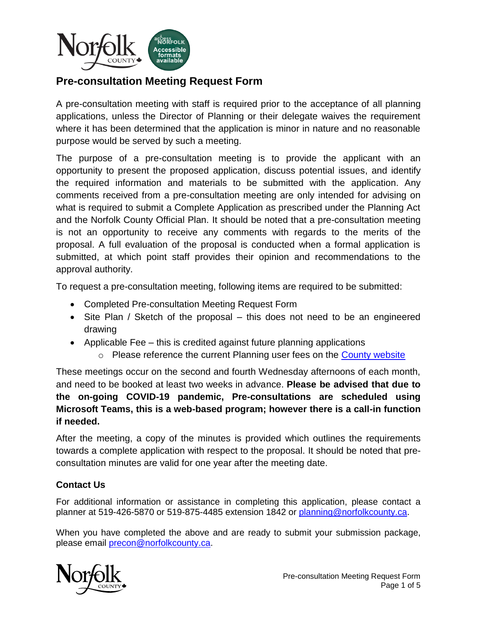

# **Pre-consultation Meeting Request Form**

A pre-consultation meeting with staff is required prior to the acceptance of all planning applications, unless the Director of Planning or their delegate waives the requirement where it has been determined that the application is minor in nature and no reasonable purpose would be served by such a meeting.

The purpose of a pre-consultation meeting is to provide the applicant with an opportunity to present the proposed application, discuss potential issues, and identify the required information and materials to be submitted with the application. Any comments received from a pre-consultation meeting are only intended for advising on what is required to submit a Complete Application as prescribed under the Planning Act and the Norfolk County Official Plan. It should be noted that a pre-consultation meeting is not an opportunity to receive any comments with regards to the merits of the proposal. A full evaluation of the proposal is conducted when a formal application is submitted, at which point staff provides their opinion and recommendations to the approval authority.

To request a pre-consultation meeting, following items are required to be submitted:

- Completed Pre-consultation Meeting Request Form
- Site Plan / Sketch of the proposal this does not need to be an engineered drawing
- Applicable Fee this is credited against future planning applications
	- o Please reference the current Planning user fees on the [County website](https://www.norfolkcounty.ca/government/planning/)

These meetings occur on the second and fourth Wednesday afternoons of each month, and need to be booked at least two weeks in advance. **Please be advised that due to the on-going COVID-19 pandemic, Pre-consultations are scheduled using Microsoft Teams, this is a web-based program; however there is a call-in function if needed.**

After the meeting, a copy of the minutes is provided which outlines the requirements towards a complete application with respect to the proposal. It should be noted that preconsultation minutes are valid for one year after the meeting date.

#### **Contact Us**

For additional information or assistance in completing this application, please contact a planner at 519-426-5870 or 519-875-4485 extension 1842 or [planning@norfolkcounty.ca.](mailto:planning@norfolkcounty.ca)

When you have completed the above and are ready to submit your submission package, please email [precon@norfolkcounty.ca.](mailto:precon@norfolkcounty.ca)

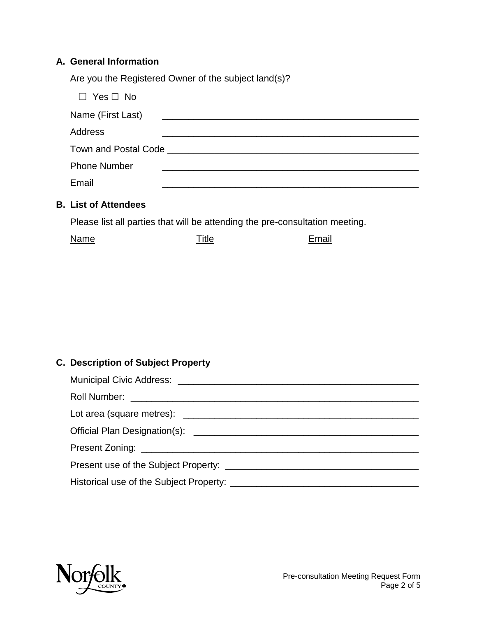# **A. General Information**

Are you the Registered Owner of the subject land(s)?

| $\Box$ Yes $\Box$ No                                                      |  |
|---------------------------------------------------------------------------|--|
| Name (First Last)<br><u> 1980 - Jan James James, martin amerikan bizi</u> |  |
| Address                                                                   |  |
| Town and Postal Code <b>Example 2018</b>                                  |  |
| <b>Phone Number</b>                                                       |  |
| Email                                                                     |  |
|                                                                           |  |

#### **B. List of Attendees**

Please list all parties that will be attending the pre-consultation meeting.

| Name | -itle | <br>imail |
|------|-------|-----------|
|      |       |           |

# **C. Description of Subject Property**

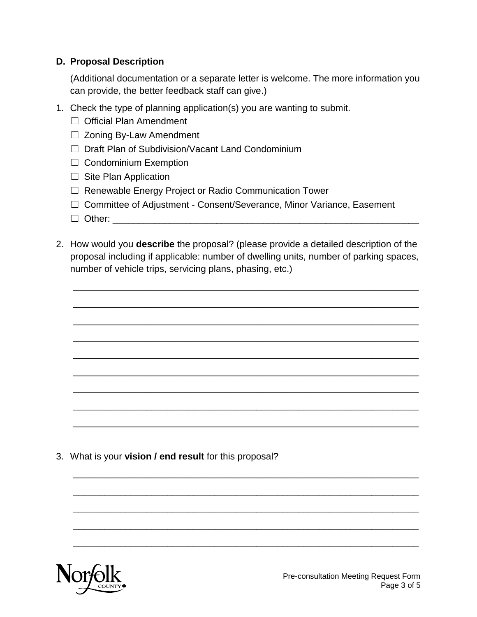### **D. Proposal Description**

(Additional documentation or a separate letter is welcome. The more information you can provide, the better feedback staff can give.)

- 1. Check the type of planning application(s) you are wanting to submit.
	- □ Official Plan Amendment
	- ☐ Zoning By-Law Amendment
	- ☐ Draft Plan of Subdivision/Vacant Land Condominium
	- □ Condominium Exemption
	- $\Box$  Site Plan Application
	- □ Renewable Energy Project or Radio Communication Tower
	- □ Committee of Adjustment Consent/Severance, Minor Variance, Easement
	- ☐ Other: \_\_\_\_\_\_\_\_\_\_\_\_\_\_\_\_\_\_\_\_\_\_\_\_\_\_\_\_\_\_\_\_\_\_\_\_\_\_\_\_\_\_\_\_\_\_\_\_\_\_\_\_\_\_\_\_\_\_\_
- 2. How would you **describe** the proposal? (please provide a detailed description of the proposal including if applicable: number of dwelling units, number of parking spaces, number of vehicle trips, servicing plans, phasing, etc.)

\_\_\_\_\_\_\_\_\_\_\_\_\_\_\_\_\_\_\_\_\_\_\_\_\_\_\_\_\_\_\_\_\_\_\_\_\_\_\_\_\_\_\_\_\_\_\_\_\_\_\_\_\_\_\_\_\_\_\_\_\_\_\_\_\_\_

\_\_\_\_\_\_\_\_\_\_\_\_\_\_\_\_\_\_\_\_\_\_\_\_\_\_\_\_\_\_\_\_\_\_\_\_\_\_\_\_\_\_\_\_\_\_\_\_\_\_\_\_\_\_\_\_\_\_\_\_\_\_\_\_\_\_

\_\_\_\_\_\_\_\_\_\_\_\_\_\_\_\_\_\_\_\_\_\_\_\_\_\_\_\_\_\_\_\_\_\_\_\_\_\_\_\_\_\_\_\_\_\_\_\_\_\_\_\_\_\_\_\_\_\_\_\_\_\_\_\_\_\_

\_\_\_\_\_\_\_\_\_\_\_\_\_\_\_\_\_\_\_\_\_\_\_\_\_\_\_\_\_\_\_\_\_\_\_\_\_\_\_\_\_\_\_\_\_\_\_\_\_\_\_\_\_\_\_\_\_\_\_\_\_\_\_\_\_\_

\_\_\_\_\_\_\_\_\_\_\_\_\_\_\_\_\_\_\_\_\_\_\_\_\_\_\_\_\_\_\_\_\_\_\_\_\_\_\_\_\_\_\_\_\_\_\_\_\_\_\_\_\_\_\_\_\_\_\_\_\_\_\_\_\_\_

\_\_\_\_\_\_\_\_\_\_\_\_\_\_\_\_\_\_\_\_\_\_\_\_\_\_\_\_\_\_\_\_\_\_\_\_\_\_\_\_\_\_\_\_\_\_\_\_\_\_\_\_\_\_\_\_\_\_\_\_\_\_\_\_\_\_

\_\_\_\_\_\_\_\_\_\_\_\_\_\_\_\_\_\_\_\_\_\_\_\_\_\_\_\_\_\_\_\_\_\_\_\_\_\_\_\_\_\_\_\_\_\_\_\_\_\_\_\_\_\_\_\_\_\_\_\_\_\_\_\_\_\_

\_\_\_\_\_\_\_\_\_\_\_\_\_\_\_\_\_\_\_\_\_\_\_\_\_\_\_\_\_\_\_\_\_\_\_\_\_\_\_\_\_\_\_\_\_\_\_\_\_\_\_\_\_\_\_\_\_\_\_\_\_\_\_\_\_\_

\_\_\_\_\_\_\_\_\_\_\_\_\_\_\_\_\_\_\_\_\_\_\_\_\_\_\_\_\_\_\_\_\_\_\_\_\_\_\_\_\_\_\_\_\_\_\_\_\_\_\_\_\_\_\_\_\_\_\_\_\_\_\_\_\_\_

\_\_\_\_\_\_\_\_\_\_\_\_\_\_\_\_\_\_\_\_\_\_\_\_\_\_\_\_\_\_\_\_\_\_\_\_\_\_\_\_\_\_\_\_\_\_\_\_\_\_\_\_\_\_\_\_\_\_\_\_\_\_\_\_\_\_

\_\_\_\_\_\_\_\_\_\_\_\_\_\_\_\_\_\_\_\_\_\_\_\_\_\_\_\_\_\_\_\_\_\_\_\_\_\_\_\_\_\_\_\_\_\_\_\_\_\_\_\_\_\_\_\_\_\_\_\_\_\_\_\_\_\_

\_\_\_\_\_\_\_\_\_\_\_\_\_\_\_\_\_\_\_\_\_\_\_\_\_\_\_\_\_\_\_\_\_\_\_\_\_\_\_\_\_\_\_\_\_\_\_\_\_\_\_\_\_\_\_\_\_\_\_\_\_\_\_\_\_\_

\_\_\_\_\_\_\_\_\_\_\_\_\_\_\_\_\_\_\_\_\_\_\_\_\_\_\_\_\_\_\_\_\_\_\_\_\_\_\_\_\_\_\_\_\_\_\_\_\_\_\_\_\_\_\_\_\_\_\_\_\_\_\_\_\_\_

\_\_\_\_\_\_\_\_\_\_\_\_\_\_\_\_\_\_\_\_\_\_\_\_\_\_\_\_\_\_\_\_\_\_\_\_\_\_\_\_\_\_\_\_\_\_\_\_\_\_\_\_\_\_\_\_\_\_\_\_\_\_\_\_\_\_

3. What is your **vision / end result** for this proposal?

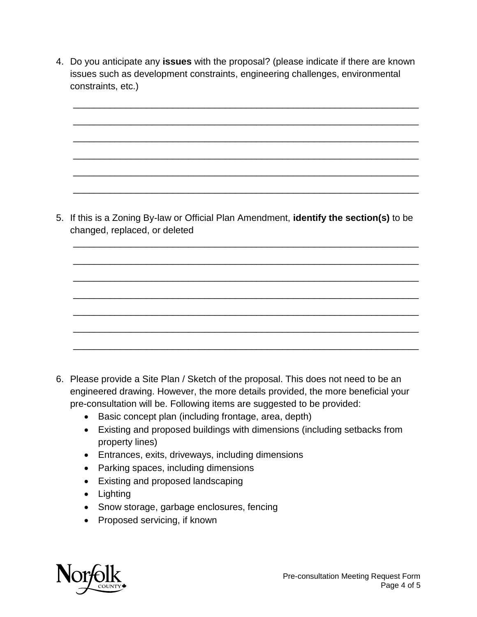4. Do you anticipate any **issues** with the proposal? (please indicate if there are known issues such as development constraints, engineering challenges, environmental constraints, etc.)

\_\_\_\_\_\_\_\_\_\_\_\_\_\_\_\_\_\_\_\_\_\_\_\_\_\_\_\_\_\_\_\_\_\_\_\_\_\_\_\_\_\_\_\_\_\_\_\_\_\_\_\_\_\_\_\_\_\_\_\_\_\_\_\_\_\_

\_\_\_\_\_\_\_\_\_\_\_\_\_\_\_\_\_\_\_\_\_\_\_\_\_\_\_\_\_\_\_\_\_\_\_\_\_\_\_\_\_\_\_\_\_\_\_\_\_\_\_\_\_\_\_\_\_\_\_\_\_\_\_\_\_\_

\_\_\_\_\_\_\_\_\_\_\_\_\_\_\_\_\_\_\_\_\_\_\_\_\_\_\_\_\_\_\_\_\_\_\_\_\_\_\_\_\_\_\_\_\_\_\_\_\_\_\_\_\_\_\_\_\_\_\_\_\_\_\_\_\_\_

\_\_\_\_\_\_\_\_\_\_\_\_\_\_\_\_\_\_\_\_\_\_\_\_\_\_\_\_\_\_\_\_\_\_\_\_\_\_\_\_\_\_\_\_\_\_\_\_\_\_\_\_\_\_\_\_\_\_\_\_\_\_\_\_\_\_

\_\_\_\_\_\_\_\_\_\_\_\_\_\_\_\_\_\_\_\_\_\_\_\_\_\_\_\_\_\_\_\_\_\_\_\_\_\_\_\_\_\_\_\_\_\_\_\_\_\_\_\_\_\_\_\_\_\_\_\_\_\_\_\_\_\_

\_\_\_\_\_\_\_\_\_\_\_\_\_\_\_\_\_\_\_\_\_\_\_\_\_\_\_\_\_\_\_\_\_\_\_\_\_\_\_\_\_\_\_\_\_\_\_\_\_\_\_\_\_\_\_\_\_\_\_\_\_\_\_\_\_\_

\_\_\_\_\_\_\_\_\_\_\_\_\_\_\_\_\_\_\_\_\_\_\_\_\_\_\_\_\_\_\_\_\_\_\_\_\_\_\_\_\_\_\_\_\_\_\_\_\_\_\_\_\_\_\_\_\_\_\_\_\_\_\_\_\_\_

\_\_\_\_\_\_\_\_\_\_\_\_\_\_\_\_\_\_\_\_\_\_\_\_\_\_\_\_\_\_\_\_\_\_\_\_\_\_\_\_\_\_\_\_\_\_\_\_\_\_\_\_\_\_\_\_\_\_\_\_\_\_\_\_\_\_

\_\_\_\_\_\_\_\_\_\_\_\_\_\_\_\_\_\_\_\_\_\_\_\_\_\_\_\_\_\_\_\_\_\_\_\_\_\_\_\_\_\_\_\_\_\_\_\_\_\_\_\_\_\_\_\_\_\_\_\_\_\_\_\_\_\_

\_\_\_\_\_\_\_\_\_\_\_\_\_\_\_\_\_\_\_\_\_\_\_\_\_\_\_\_\_\_\_\_\_\_\_\_\_\_\_\_\_\_\_\_\_\_\_\_\_\_\_\_\_\_\_\_\_\_\_\_\_\_\_\_\_\_

5. If this is a Zoning By-law or Official Plan Amendment, **identify the section(s)** to be changed, replaced, or deleted

- \_\_\_\_\_\_\_\_\_\_\_\_\_\_\_\_\_\_\_\_\_\_\_\_\_\_\_\_\_\_\_\_\_\_\_\_\_\_\_\_\_\_\_\_\_\_\_\_\_\_\_\_\_\_\_\_\_\_\_\_\_\_\_\_\_\_ \_\_\_\_\_\_\_\_\_\_\_\_\_\_\_\_\_\_\_\_\_\_\_\_\_\_\_\_\_\_\_\_\_\_\_\_\_\_\_\_\_\_\_\_\_\_\_\_\_\_\_\_\_\_\_\_\_\_\_\_\_\_\_\_\_\_ \_\_\_\_\_\_\_\_\_\_\_\_\_\_\_\_\_\_\_\_\_\_\_\_\_\_\_\_\_\_\_\_\_\_\_\_\_\_\_\_\_\_\_\_\_\_\_\_\_\_\_\_\_\_\_\_\_\_\_\_\_\_\_\_\_\_ 6. Please provide a Site Plan / Sketch of the proposal. This does not need to be an
- engineered drawing. However, the more details provided, the more beneficial your pre-consultation will be. Following items are suggested to be provided:
	- Basic concept plan (including frontage, area, depth)
	- Existing and proposed buildings with dimensions (including setbacks from property lines)
	- Entrances, exits, driveways, including dimensions
	- Parking spaces, including dimensions
	- Existing and proposed landscaping
	- Lighting
	- Snow storage, garbage enclosures, fencing
	- Proposed servicing, if known